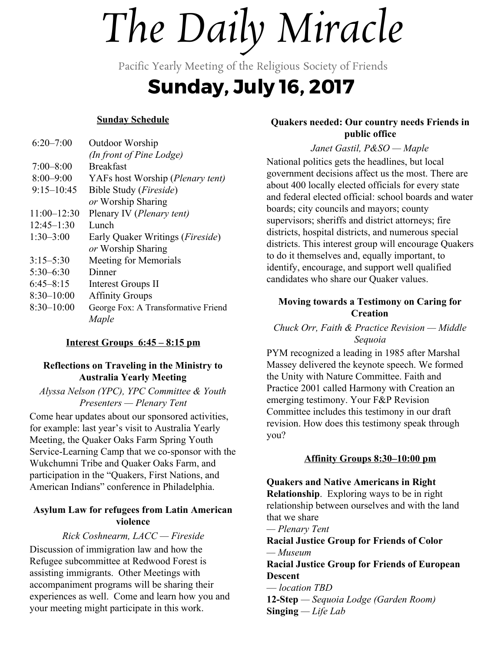# *The Daily Miracle*

Pacific Yearly Meeting of the Religious Society of Friends

## **Sunday, July 16, 2017**

#### **Sunday Schedule**

| $6:20 - 7:00$   | Outdoor Worship                           |
|-----------------|-------------------------------------------|
|                 | (In front of Pine Lodge)                  |
| $7:00 - 8:00$   | <b>Breakfast</b>                          |
| $8:00 - 9:00$   | YAFs host Worship ( <i>Plenary tent</i> ) |
| $9:15 - 10:45$  | Bible Study ( <i>Fireside</i> )           |
|                 | or Worship Sharing                        |
| $11:00 - 12:30$ | Plenary IV (Plenary tent)                 |
| $12:45 - 1:30$  | Lunch                                     |
| $1:30-3:00$     | Early Quaker Writings ( <i>Fireside</i> ) |
|                 | or Worship Sharing                        |
| $3:15 - 5:30$   | Meeting for Memorials                     |
| $5:30 - 6:30$   | Dinner                                    |
| $6:45 - 8:15$   | Interest Groups II                        |
| $8:30 - 10:00$  | <b>Affinity Groups</b>                    |
| $8:30 - 10:00$  | George Fox: A Transformative Friend       |
|                 | Maple                                     |
|                 |                                           |

#### **Interest Groups 6:45 – 8:15 pm**

#### **Reflections on Traveling in the Ministry to Australia Yearly Meeting**

*Alyssa Nelson (YPC), YPC Committee & Youth Presenters — Plenary Tent*

Come hear updates about our sponsored activities, for example: last year's visit to Australia Yearly Meeting, the Quaker Oaks Farm Spring Youth Service-Learning Camp that we co-sponsor with the Wukchumni Tribe and Quaker Oaks Farm, and participation in the "Quakers, First Nations, and American Indians" conference in Philadelphia.

#### **Asylum Law for refugees from Latin American violence**

*Rick Coshnearm, LACC — Fireside* Discussion of immigration law and how the Refugee subcommittee at Redwood Forest is assisting immigrants. Other Meetings with accompaniment programs will be sharing their experiences as well. Come and learn how you and your meeting might participate in this work.

#### **Quakers needed: Our country needs Friends in public office**

#### *Janet Gastil, P&SO — Maple*

National politics gets the headlines, but local government decisions affect us the most. There are about 400 locally elected officials for every state and federal elected official: school boards and water boards; city councils and mayors; county supervisors; sheriffs and district attorneys; fire districts, hospital districts, and numerous special districts. This interest group will encourage Quakers to do it themselves and, equally important, to identify, encourage, and support well qualified candidates who share our Quaker values.

#### **Moving towards a Testimony on Caring for Creation**

*Chuck Orr, Faith & Practice Revision — Middle Sequoia*

PYM recognized a leading in 1985 after Marshal Massey delivered the keynote speech. We formed the Unity with Nature Committee. Faith and Practice 2001 called Harmony with Creation an emerging testimony. Your F&P Revision Committee includes this testimony in our draft revision. How does this testimony speak through you?

#### **Affinity Groups 8:30–10:00 pm**

**Quakers and Native Americans in Right Relationship**. Exploring ways to be in right relationship between ourselves and with the land that we share

*— Plenary Tent*

**Racial Justice Group for Friends of Color** *— Museum*

**Racial Justice Group for Friends of European Descent**

— *location TBD* **12-Step** *— Sequoia Lodge (Garden Room)* **Singing** *— Life Lab*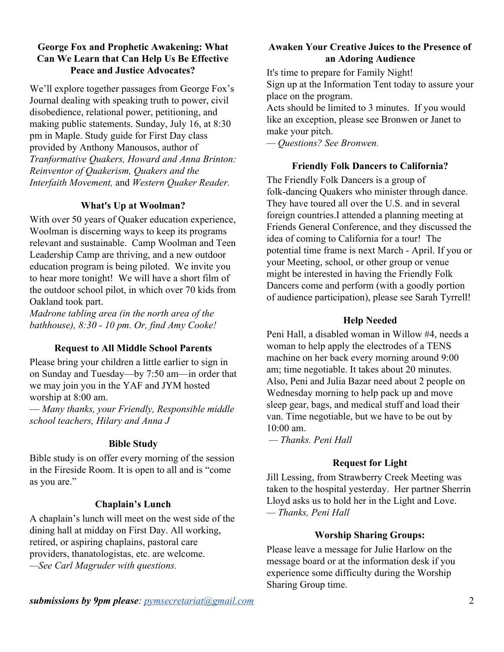#### **George Fox and Prophetic Awakening: What Can We Learn that Can Help Us Be Effective Peace and Justice Advocates?**

We'll explore together passages from George Fox's Journal dealing with speaking truth to power, civil disobedience, relational power, petitioning, and making public statements. Sunday, July 16, at 8:30 pm in Maple. Study guide for First Day class provided by Anthony Manousos, author of *Tranformative Quakers, Howard and Anna Brinton: Reinventor of Quakerism, Quakers and the Interfaith Movement,* and *Western Quaker Reader.*

#### **What's Up at Woolman?**

With over 50 years of Quaker education experience, Woolman is discerning ways to keep its programs relevant and sustainable. Camp Woolman and Teen Leadership Camp are thriving, and a new outdoor education program is being piloted. We invite you to hear more tonight! We will have a short film of the outdoor school pilot, in which over 70 kids from Oakland took part.

*Madrone tabling area (in the north area of the bathhouse), 8:30 - 10 pm. Or, find Amy Cooke!*

#### **Request to All Middle School Parents**

Please bring your children a little earlier to sign in on Sunday and Tuesday—by 7:50 am—in order that we may join you in the YAF and JYM hosted worship at 8:00 am.

— *Many thanks, your Friendly, Responsible middle school teachers, Hilary and Anna J*

#### **Bible Study**

Bible study is on offer every morning of the session in the Fireside Room. It is open to all and is "come as you are."

#### **Chaplain's Lunch**

A chaplain's lunch will meet on the west side of the dining hall at midday on First Day. All working, retired, or aspiring chaplains, pastoral care providers, thanatologistas, etc. are welcome. *—See Carl Magruder with questions.*

#### **Awaken Your Creative Juices to the Presence of an Adoring Audience**

It's time to prepare for Family Night! Sign up at the Information Tent today to assure your place on the program. Acts should be limited to 3 minutes. If you would

like an exception, please see Bronwen or Janet to make your pitch.

*— Questions? See Bronwen.*

#### **Friendly Folk Dancers to California?**

The Friendly Folk Dancers is a group of folk-dancing Quakers who minister through dance. They have toured all over the U.S. and in several foreign countries.I attended a planning meeting at Friends General Conference, and they discussed the idea of coming to California for a tour! The potential time frame is next March - April. If you or your Meeting, school, or other group or venue might be interested in having the Friendly Folk Dancers come and perform (with a goodly portion of audience participation), please see Sarah Tyrrell!

#### **Help Needed**

Peni Hall, a disabled woman in Willow #4, needs a woman to help apply the electrodes of a TENS machine on her back every morning around 9:00 am; time negotiable. It takes about 20 minutes. Also, Peni and Julia Bazar need about 2 people on Wednesday morning to help pack up and move sleep gear, bags, and medical stuff and load their van. Time negotiable, but we have to be out by  $10:00$  am.

 *— Thanks. Peni Hall*

#### **Request for Light**

Jill Lessing, from Strawberry Creek Meeting was taken to the hospital yesterday. Her partner Sherrin Lloyd asks us to hold her in the Light and Love. *— Thanks, Peni Hall*

#### **Worship Sharing Groups:**

Please leave a message for Julie Harlow on the message board or at the information desk if you experience some difficulty during the Worship Sharing Group time.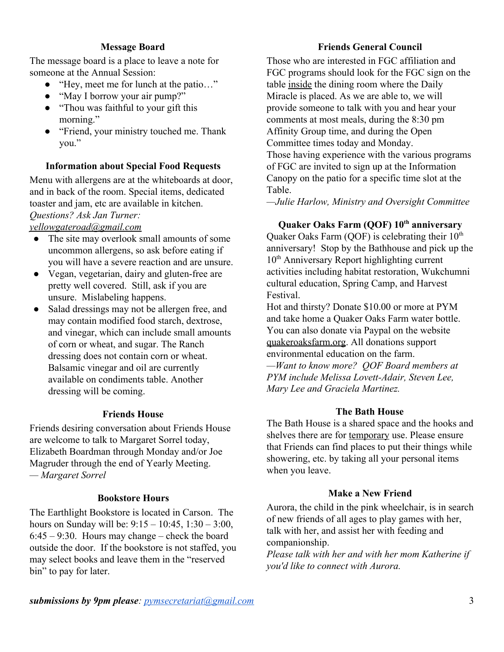#### **Message Board**

The message board is a place to leave a note for someone at the Annual Session:

- "Hey, meet me for lunch at the patio…"
- "May I borrow your air pump?"
- "Thou was faithful to your gift this morning."
- "Friend, your ministry touched me. Thank you."

#### **Information about Special Food Requests**

Menu with allergens are at the whiteboards at door, and in back of the room. Special items, dedicated toaster and jam, etc are available in kitchen. *Questions? Ask Jan Turner: [yellowgateroad@gmail.com](mailto:yellowgateroad@gmail.com)*

- The site may overlook small amounts of some uncommon allergens, so ask before eating if you will have a severe reaction and are unsure.
- Vegan, vegetarian, dairy and gluten-free are pretty well covered. Still, ask if you are unsure. Mislabeling happens.
- Salad dressings may not be allergen free, and may contain modified food starch, dextrose, and vinegar, which can include small amounts of corn or wheat, and sugar. The Ranch dressing does not contain corn or wheat. Balsamic vinegar and oil are currently available on condiments table. Another dressing will be coming.

#### **Friends House**

Friends desiring conversation about Friends House are welcome to talk to Margaret Sorrel today, Elizabeth Boardman through Monday and/or Joe Magruder through the end of Yearly Meeting. *— Margaret Sorrel*

#### **Bookstore Hours**

The Earthlight Bookstore is located in Carson. The hours on Sunday will be: 9:15 – 10:45, 1:30 – 3:00,  $6:45 - 9:30$ . Hours may change – check the board outside the door. If the bookstore is not staffed, you may select books and leave them in the "reserved bin" to pay for later.

#### **Friends General Council**

Those who are interested in FGC affiliation and FGC programs should look for the FGC sign on the table inside the dining room where the Daily Miracle is placed. As we are able to, we will provide someone to talk with you and hear your comments at most meals, during the 8:30 pm Affinity Group time, and during the Open Committee times today and Monday.

Those having experience with the various programs of FGC are invited to sign up at the Information Canopy on the patio for a specific time slot at the Table.

*—Julie Harlow, Ministry and Oversight Committee*

### **Quaker Oaks Farm (QOF) 10 th anniversary**

Quaker Oaks Farm (QOF) is celebrating their  $10^{th}$ anniversary! Stop by the Bathhouse and pick up the 10<sup>th</sup> Anniversary Report highlighting current activities including habitat restoration, Wukchumni cultural education, Spring Camp, and Harvest Festival.

Hot and thirsty? Donate \$10.00 or more at PYM and take home a Quaker Oaks Farm water bottle. You can also donate via Paypal on the website [quakeroaksfarm.org.](http://quakeroaksfarm.org/) All donations support environmental education on the farm.

*—Want to know more? QOF Board members at PYM include Melissa Lovett-Adair, Steven Lee, Mary Lee and Graciela Martinez.*

#### **The Bath House**

The Bath House is a shared space and the hooks and shelves there are for temporary use. Please ensure that Friends can find places to put their things while showering, etc. by taking all your personal items when you leave.

#### **Make a New Friend**

Aurora, the child in the pink wheelchair, is in search of new friends of all ages to play games with her, talk with her, and assist her with feeding and companionship.

*Please talk with her and with her mom Katherine if you'd like to connect with Aurora.*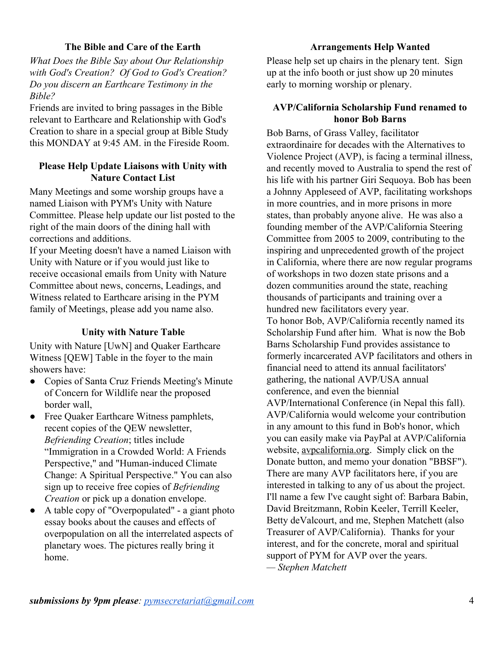#### **The Bible and Care of the Earth**

*What Does the Bible Say about Our Relationship with God's Creation? Of God to God's Creation? Do you discern an Earthcare Testimony in the Bible?*

Friends are invited to bring passages in the Bible relevant to Earthcare and Relationship with God's Creation to share in a special group at Bible Study this MONDAY at 9:45 AM. in the Fireside Room.

#### **Please Help Update Liaisons with Unity with Nature Contact List**

Many Meetings and some worship groups have a named Liaison with PYM's Unity with Nature Committee. Please help update our list posted to the right of the main doors of the dining hall with corrections and additions.

If your Meeting doesn't have a named Liaison with Unity with Nature or if you would just like to receive occasional emails from Unity with Nature Committee about news, concerns, Leadings, and Witness related to Earthcare arising in the PYM family of Meetings, please add you name also.

#### **Unity with Nature Table**

Unity with Nature [UwN] and Quaker Earthcare Witness [QEW] Table in the foyer to the main showers have:

- Copies of Santa Cruz Friends Meeting's Minute of Concern for Wildlife near the proposed border wall,
- Free Quaker Earthcare Witness pamphlets, recent copies of the QEW newsletter, *Befriending Creation*; titles include "Immigration in a Crowded World: A Friends Perspective," and "Human-induced Climate Change: A Spiritual Perspective." You can also sign up to receive free copies of *Befriending Creation* or pick up a donation envelope.
- A table copy of "Overpopulated" a giant photo essay books about the causes and effects of overpopulation on all the interrelated aspects of planetary woes. The pictures really bring it home.

#### **Arrangements Help Wanted**

Please help set up chairs in the plenary tent. Sign up at the info booth or just show up 20 minutes early to morning worship or plenary.

#### **AVP/California Scholarship Fund renamed to honor Bob Barns**

Bob Barns, of Grass Valley, facilitator extraordinaire for decades with the Alternatives to Violence Project (AVP), is facing a terminal illness, and recently moved to Australia to spend the rest of his life with his partner Giri Sequoya. Bob has been a Johnny Appleseed of AVP, facilitating workshops in more countries, and in more prisons in more states, than probably anyone alive. He was also a founding member of the AVP/California Steering Committee from 2005 to 2009, contributing to the inspiring and unprecedented growth of the project in California, where there are now regular programs of workshops in two dozen state prisons and a dozen communities around the state, reaching thousands of participants and training over a hundred new facilitators every year.

To honor Bob, AVP/California recently named its Scholarship Fund after him. What is now the Bob Barns Scholarship Fund provides assistance to formerly incarcerated AVP facilitators and others in financial need to attend its annual facilitators' gathering, the national AVP/USA annual conference, and even the biennial AVP/International Conference (in Nepal this fall). AVP/California would welcome your contribution in any amount to this fund in Bob's honor, which you can easily make via PayPal at AVP/California website[,](http://avpcalifornia.org/) [avpcalifornia.org.](http://avpcalifornia.org/) Simply click on the Donate button, and memo your donation "BBSF"). There are many AVP facilitators here, if you are interested in talking to any of us about the project. I'll name a few I've caught sight of: Barbara Babin, David Breitzmann, Robin Keeler, Terrill Keeler, Betty deValcourt, and me, Stephen Matchett (also Treasurer of AVP/California). Thanks for your interest, and for the concrete, moral and spiritual support of PYM for AVP over the years. *— Stephen Matchett*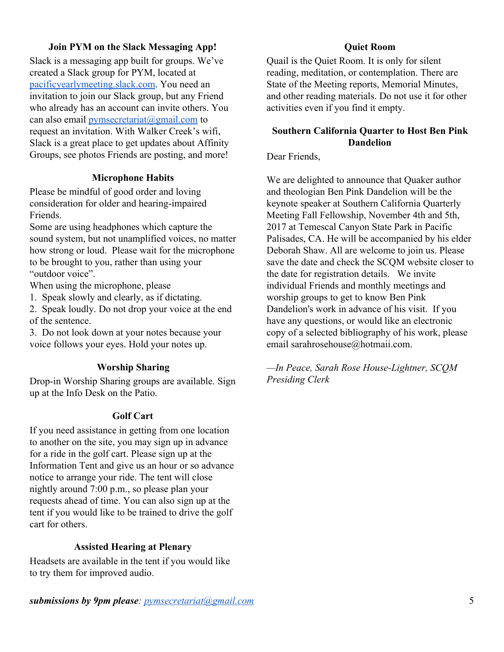#### **Join PYM on the Slack Messaging App!**

Slack is a messaging app built for groups. We've created a Slack group for PYM, located at [pacificyearlymeeting.slack.com.](http://pacificyearlymeeting.slack.com/) You need an invitation to join our Slack group, but any Friend who already has an account can invite others. You can also email [pymsecretariat@gmail.com](mailto:pymsecretariat@gmail.com) to request an invitation. With Walker Creek's wifi, Slack is a great place to get updates about Affinity Groups, see photos Friends are posting, and more!

#### **Microphone Habits**

Please be mindful of good order and loving consideration for older and hearing-impaired Friends.

Some are using headphones which capture the sound system, but not unamplified voices, no matter how strong or loud. Please wait for the microphone to be brought to you, rather than using your "outdoor voice".

When using the microphone, please

1. Speak slowly and clearly, as if dictating.

2. Speak loudly. Do not drop your voice at the end of the sentence.

3. Do not look down at your notes because your voice follows your eyes. Hold your notes up.

#### **Worship Sharing**

Drop-in Worship Sharing groups are available. Sign up at the Info Desk on the Patio.

#### **Golf Cart**

If you need assistance in getting from one location to another on the site, you may sign up in advance for a ride in the golf cart. Please sign up at the Information Tent and give us an hour or so advance notice to arrange your ride. The tent will close nightly around 7:00 p.m., so please plan your requests ahead of time. You can also sign up at the tent if you would like to be trained to drive the golf cart for others.

#### **Assisted Hearing at Plenary**

Headsets are available in the tent if you would like to try them for improved audio.

#### **Quiet Room**

Quail is the Quiet Room. It is only for silent reading, meditation, or contemplation. There are State of the Meeting reports, Memorial Minutes, and other reading materials. Do not use it for other activities even if you find it empty.

#### **Southern California Quarter to Host Ben Pink Dandelion**

Dear Friends,

We are delighted to announce that Quaker author and theologian Ben Pink Dandelion will be the keynote speaker at Southern California Quarterly Meeting Fall Fellowship, November 4th and 5th, 2017 at Temescal Canyon State Park in Pacific Palisades, CA. He will be accompanied by his elder Deborah Shaw. All are welcome to join us. Please save the date and check the SCQM website closer to the date for registration details. We invite individual Friends and monthly meetings and worship groups to get to know Ben Pink Dandelion's work in advance of his visit. If you have any questions, or would like an electronic copy of a selected bibliography of his work, please email sarahrosehouse@hotmaii.com.

*—In Peace, Sarah Rose House-Lightner, SCQM Presiding Clerk*